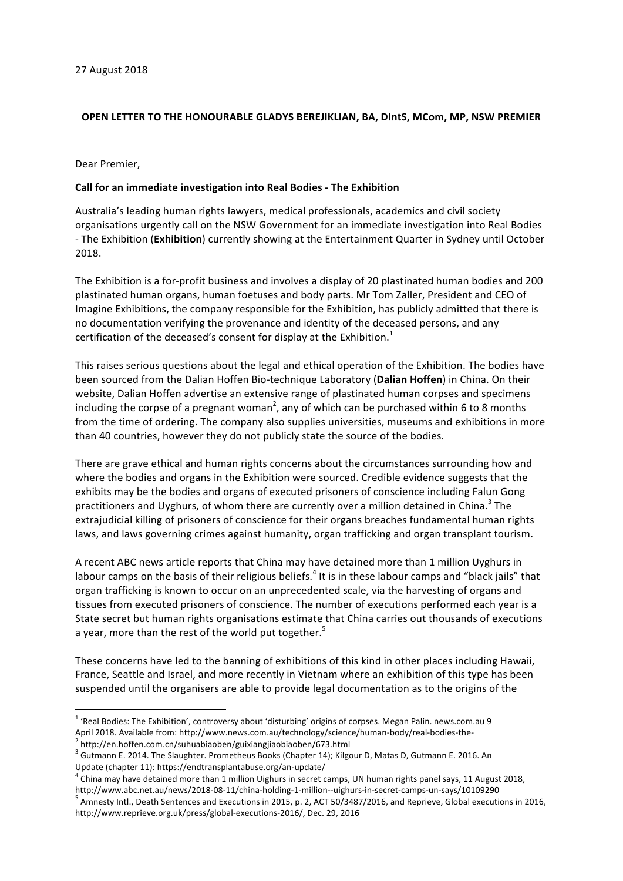## **OPEN LETTER TO THE HONOURABLE GLADYS BEREJIKLIAN, BA, DIntS, MCom, MP, NSW PREMIER**

Dear Premier,

## **Call for an immediate investigation into Real Bodies - The Exhibition**

Australia's leading human rights lawyers, medical professionals, academics and civil society organisations urgently call on the NSW Government for an immediate investigation into Real Bodies - The Exhibition (Exhibition) currently showing at the Entertainment Quarter in Sydney until October 2018.

The Exhibition is a for-profit business and involves a display of 20 plastinated human bodies and 200 plastinated human organs, human foetuses and body parts. Mr Tom Zaller, President and CEO of Imagine Exhibitions, the company responsible for the Exhibition, has publicly admitted that there is no documentation verifying the provenance and identity of the deceased persons, and any certification of the deceased's consent for display at the Exhibition.<sup>1</sup>

This raises serious questions about the legal and ethical operation of the Exhibition. The bodies have been sourced from the Dalian Hoffen Bio-technique Laboratory (Dalian Hoffen) in China. On their website, Dalian Hoffen advertise an extensive range of plastinated human corpses and specimens including the corpse of a pregnant woman<sup>2</sup>, any of which can be purchased within 6 to 8 months from the time of ordering. The company also supplies universities, museums and exhibitions in more than 40 countries, however they do not publicly state the source of the bodies.

There are grave ethical and human rights concerns about the circumstances surrounding how and where the bodies and organs in the Exhibition were sourced. Credible evidence suggests that the exhibits may be the bodies and organs of executed prisoners of conscience including Falun Gong practitioners and Uyghurs, of whom there are currently over a million detained in China.<sup>3</sup> The extrajudicial killing of prisoners of conscience for their organs breaches fundamental human rights laws, and laws governing crimes against humanity, organ trafficking and organ transplant tourism.

A recent ABC news article reports that China may have detained more than 1 million Uyghurs in labour camps on the basis of their religious beliefs.<sup>4</sup> It is in these labour camps and "black jails" that organ trafficking is known to occur on an unprecedented scale, via the harvesting of organs and tissues from executed prisoners of conscience. The number of executions performed each year is a State secret but human rights organisations estimate that China carries out thousands of executions a year, more than the rest of the world put together. $5$ 

These concerns have led to the banning of exhibitions of this kind in other places including Hawaii, France, Seattle and Israel, and more recently in Vietnam where an exhibition of this type has been suspended until the organisers are able to provide legal documentation as to the origins of the

 $1$  'Real Bodies: The Exhibition', controversy about 'disturbing' origins of corpses. Megan Palin. news.com.au 9 April 2018. Available from: http://www.news.com.au/technology/science/human-body/real-bodies-the-<br><sup>2</sup> http://en.hoffen.com.cn/suhuabiaoben/guixiangjiaobiaoben/673.html

<sup>&</sup>lt;sup>3</sup> Gutmann E. 2014. The Slaughter. Prometheus Books (Chapter 14); Kilgour D, Matas D, Gutmann E. 2016. An Update (chapter 11): https://endtransplantabuse.org/an-update/<br> $^4$  China may have detained more than 1 million Uighurs in secret camps, UN human rights panel says, 11 August 2018,

http://www.abc.net.au/news/2018-08-11/china-holding-1-million--uighurs-in-secret-camps-un-says/10109290<br><sup>5</sup> Amnesty Intl., Death Sentences and Executions in 2015, p. 2, ACT 50/3487/2016, and Reprieve, Global executions in

http://www.reprieve.org.uk/press/global-executions-2016/, Dec. 29, 2016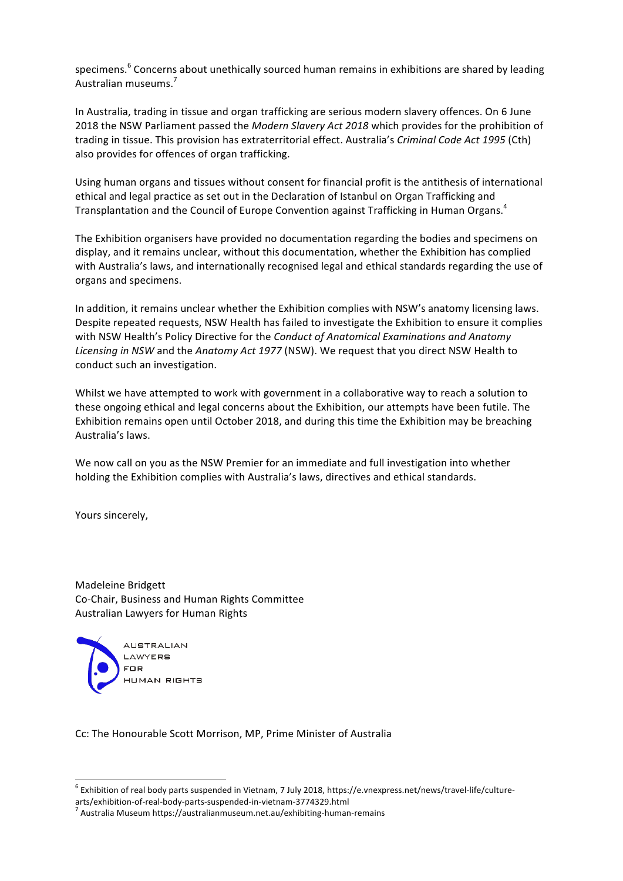specimens.<sup>6</sup> Concerns about unethically sourced human remains in exhibitions are shared by leading Australian museums.<sup>7</sup>

In Australia, trading in tissue and organ trafficking are serious modern slavery offences. On 6 June 2018 the NSW Parliament passed the *Modern Slavery Act 2018* which provides for the prohibition of trading in tissue. This provision has extraterritorial effect. Australia's *Criminal Code Act 1995* (Cth) also provides for offences of organ trafficking.

Using human organs and tissues without consent for financial profit is the antithesis of international ethical and legal practice as set out in the Declaration of Istanbul on Organ Trafficking and Transplantation and the Council of Europe Convention against Trafficking in Human Organs.<sup>4</sup>

The Exhibition organisers have provided no documentation regarding the bodies and specimens on display, and it remains unclear, without this documentation, whether the Exhibition has complied with Australia's laws, and internationally recognised legal and ethical standards regarding the use of organs and specimens.

In addition, it remains unclear whether the Exhibition complies with NSW's anatomy licensing laws. Despite repeated requests, NSW Health has failed to investigate the Exhibition to ensure it complies with NSW Health's Policy Directive for the *Conduct of Anatomical Examinations and Anatomy* Licensing in NSW and the Anatomy Act 1977 (NSW). We request that you direct NSW Health to conduct such an investigation.

Whilst we have attempted to work with government in a collaborative way to reach a solution to these ongoing ethical and legal concerns about the Exhibition, our attempts have been futile. The Exhibition remains open until October 2018, and during this time the Exhibition may be breaching Australia's laws.

We now call on you as the NSW Premier for an immediate and full investigation into whether holding the Exhibition complies with Australia's laws, directives and ethical standards.

Yours sincerely,

Madeleine Bridgett Co-Chair, Business and Human Rights Committee Australian Lawyers for Human Rights



Cc: The Honourable Scott Morrison, MP, Prime Minister of Australia

 $6$  Exhibition of real body parts suspended in Vietnam, 7 July 2018, https://e.vnexpress.net/news/travel-life/culture-

arts/exhibition-of-real-body-parts-suspended-in-vietnam-3774329.html<br><sup>7</sup> Australia Museum https://australianmuseum.net.au/exhibiting-human-remains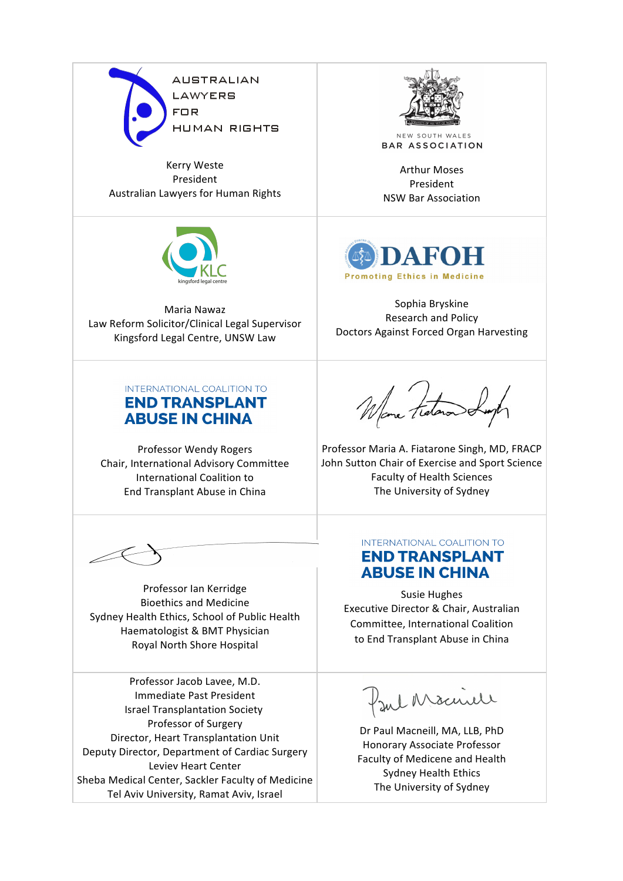

Kerry Weste President Australian Lawyers for Human Rights



Maria Nawaz Law Reform Solicitor/Clinical Legal Supervisor Kingsford Legal Centre, UNSW Law



NEW SOUTH WALES **BAR ASSOCIATION** 

**Arthur Moses** President NSW Bar Association 



Sophia Bryskine Research and Policy Doctors Against Forced Organ Harvesting

## INTERNATIONAL COALITION TO **END TRANSPLANT ABUSE IN CHINA**

Professor Wendy Rogers Chair, International Advisory Committee International Coalition to End Transplant Abuse in China

Professor Ian Kerridge Bioethics and Medicine Sydney Health Ethics, School of Public Health Haematologist & BMT Physician Royal North Shore Hospital

Professor Jacob Lavee, M.D. Immediate Past President Israel Transplantation Society Professor of Surgery Director, Heart Transplantation Unit Deputy Director, Department of Cardiac Surgery Leviev Heart Center Sheba Medical Center, Sackler Faculty of Medicine Tel Aviv University, Ramat Aviv, Israel

Wome Fraton o

Professor Maria A. Fiatarone Singh, MD, FRACP John Sutton Chair of Exercise and Sport Science Faculty of Health Sciences The University of Sydney

## INTERNATIONAL COALITION TO **END TRANSPLANT ABUSE IN CHINA**

Susie Hughes Executive Director & Chair, Australian Committee, International Coalition to End Transplant Abuse in China

Jul Macnell

Dr Paul Macneill, MA, LLB, PhD Honorary Associate Professor Faculty of Medicene and Health Sydney Health Ethics The University of Sydney